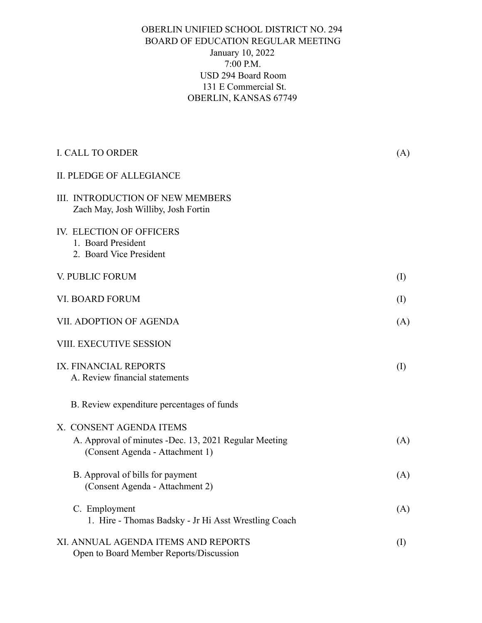# OBERLIN UNIFIED SCHOOL DISTRICT NO. 294 BOARD OF EDUCATION REGULAR MEETING January 10, 2022 7:00 P.M. USD 294 Board Room 131 E Commercial St. OBERLIN, KANSAS 67749

| <b>I. CALL TO ORDER</b>                                                                                             | (A)      |
|---------------------------------------------------------------------------------------------------------------------|----------|
| <b>II. PLEDGE OF ALLEGIANCE</b>                                                                                     |          |
| III. INTRODUCTION OF NEW MEMBERS<br>Zach May, Josh Williby, Josh Fortin                                             |          |
| <b>IV. ELECTION OF OFFICERS</b><br>1. Board President<br>2. Board Vice President                                    |          |
| V. PUBLIC FORUM                                                                                                     | $\rm(I)$ |
| <b>VI. BOARD FORUM</b>                                                                                              | (I)      |
| VII. ADOPTION OF AGENDA                                                                                             | (A)      |
| VIII. EXECUTIVE SESSION                                                                                             |          |
| IX. FINANCIAL REPORTS<br>A. Review financial statements                                                             | (1)      |
| B. Review expenditure percentages of funds                                                                          |          |
| X. CONSENT AGENDA ITEMS<br>A. Approval of minutes -Dec. 13, 2021 Regular Meeting<br>(Consent Agenda - Attachment 1) | (A)      |
| B. Approval of bills for payment<br>(Consent Agenda - Attachment 2)                                                 | (A)      |
| C. Employment<br>1. Hire - Thomas Badsky - Jr Hi Asst Wrestling Coach                                               | (A)      |
| XI. ANNUAL AGENDA ITEMS AND REPORTS<br>Open to Board Member Reports/Discussion                                      | (I)      |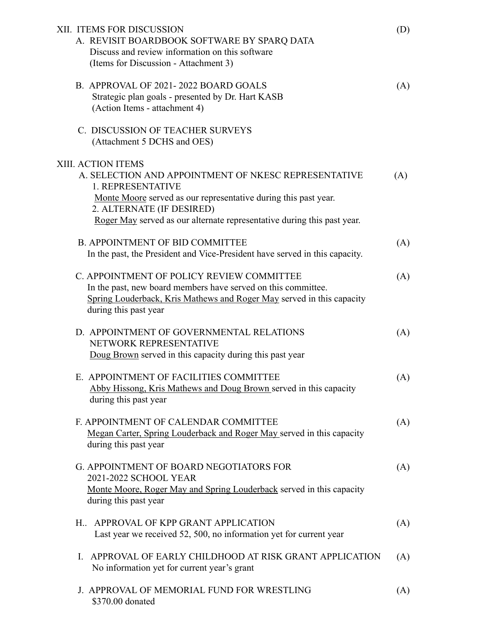| XII. ITEMS FOR DISCUSSION<br>A. REVISIT BOARDBOOK SOFTWARE BY SPARQ DATA<br>Discuss and review information on this software<br>(Items for Discussion - Attachment 3)                                                                                                       | (D) |
|----------------------------------------------------------------------------------------------------------------------------------------------------------------------------------------------------------------------------------------------------------------------------|-----|
| B. APPROVAL OF 2021-2022 BOARD GOALS<br>Strategic plan goals - presented by Dr. Hart KASB<br>(Action Items - attachment 4)                                                                                                                                                 | (A) |
| C. DISCUSSION OF TEACHER SURVEYS<br>(Attachment 5 DCHS and OES)                                                                                                                                                                                                            |     |
| XIII. ACTION ITEMS<br>A. SELECTION AND APPOINTMENT OF NKESC REPRESENTATIVE<br>1. REPRESENTATIVE<br>Monte Moore served as our representative during this past year.<br>2. ALTERNATE (IF DESIRED)<br>Roger May served as our alternate representative during this past year. | (A) |
| <b>B. APPOINTMENT OF BID COMMITTEE</b><br>In the past, the President and Vice-President have served in this capacity.                                                                                                                                                      | (A) |
| C. APPOINTMENT OF POLICY REVIEW COMMITTEE<br>In the past, new board members have served on this committee.<br>Spring Louderback, Kris Mathews and Roger May served in this capacity<br>during this past year                                                               | (A) |
| D. APPOINTMENT OF GOVERNMENTAL RELATIONS<br>NETWORK REPRESENTATIVE<br>Doug Brown served in this capacity during this past year                                                                                                                                             | (A) |
| E. APPOINTMENT OF FACILITIES COMMITTEE<br>Abby Hissong, Kris Mathews and Doug Brown served in this capacity<br>during this past year                                                                                                                                       | (A) |
| F. APPOINTMENT OF CALENDAR COMMITTEE<br>Megan Carter, Spring Louderback and Roger May served in this capacity<br>during this past year                                                                                                                                     | (A) |
| <b>G. APPOINTMENT OF BOARD NEGOTIATORS FOR</b><br>2021-2022 SCHOOL YEAR<br>Monte Moore, Roger May and Spring Louderback served in this capacity<br>during this past year                                                                                                   | (A) |
| H APPROVAL OF KPP GRANT APPLICATION<br>Last year we received 52, 500, no information yet for current year                                                                                                                                                                  | (A) |
| APPROVAL OF EARLY CHILDHOOD AT RISK GRANT APPLICATION<br>L.<br>No information yet for current year's grant                                                                                                                                                                 | (A) |
| J. APPROVAL OF MEMORIAL FUND FOR WRESTLING<br>\$370.00 donated                                                                                                                                                                                                             | (A) |